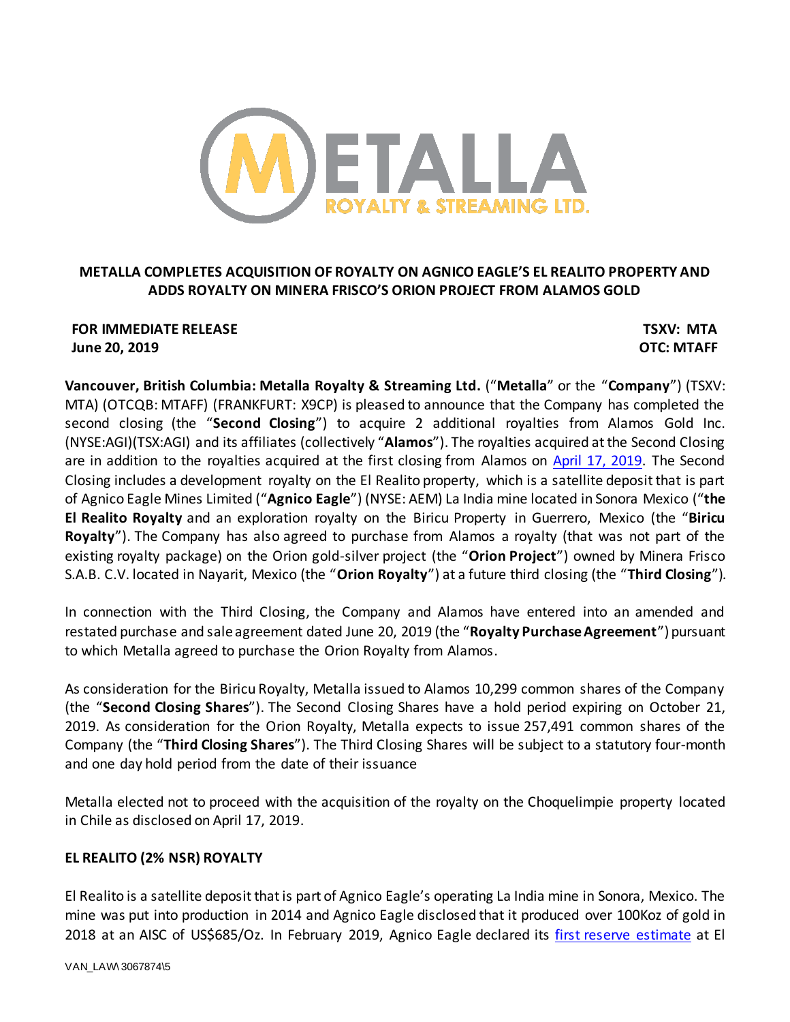

# **METALLA COMPLETES ACQUISITION OF ROYALTY ON AGNICO EAGLE'S EL REALITO PROPERTY AND ADDS ROYALTY ON MINERA FRISCO'S ORION PROJECT FROM ALAMOS GOLD**

## **FOR IMMEDIATE RELEASE TSXV: MTA June 20, 2019 OTC: MTAFF**

**Vancouver, British Columbia: Metalla Royalty & Streaming Ltd.** ("**Metalla**" or the "**Company**") (TSXV: MTA) (OTCQB: MTAFF) (FRANKFURT: X9CP) is pleased to announce that the Company has completed the second closing (the "**Second Closing**") to acquire 2 additional royalties from Alamos Gold Inc. (NYSE:AGI)(TSX:AGI) and its affiliates (collectively "**Alamos**"). The royalties acquired at the Second Closing are in addition to the royalties acquired at the first closing from Alamos on [April 17, 2019.](https://www.newswire.ca/news-releases/metalla-completes-acquisition-of-royalty-portfolio-from-alamos-gold-888942768.html) The Second Closing includes a development royalty on the El Realito property, which is a satellite deposit that is part of Agnico Eagle Mines Limited ("**Agnico Eagle**") (NYSE: AEM) La India mine located in Sonora Mexico ("**the El Realito Royalty** and an exploration royalty on the Biricu Property in Guerrero, Mexico (the "**Biricu Royalty**"). The Company has also agreed to purchase from Alamos a royalty (that was not part of the existing royalty package) on the Orion gold-silver project (the "**Orion Project**") owned by Minera Frisco S.A.B. C.V. located in Nayarit, Mexico (the "**Orion Royalty**") at a future third closing (the "**Third Closing**").

In connection with the Third Closing, the Company and Alamos have entered into an amended and restated purchase and sale agreement dated June 20, 2019 (the "**Royalty Purchase Agreement**") pursuant to which Metalla agreed to purchase the Orion Royalty from Alamos.

As consideration for the Biricu Royalty, Metalla issued to Alamos 10,299 common shares of the Company (the "**Second Closing Shares**"). The Second Closing Shares have a hold period expiring on October 21, 2019. As consideration for the Orion Royalty, Metalla expects to issue 257,491 common shares of the Company (the "**Third Closing Shares**"). The Third Closing Shares will be subject to a statutory four-month and one day hold period from the date of their issuance

Metalla elected not to proceed with the acquisition of the royalty on the Choquelimpie property located in Chile as disclosed on April 17, 2019.

# **EL REALITO (2% NSR) ROYALTY**

El Realito is a satellite deposit that is part of Agnico Eagle's operating La India mine in Sonora, Mexico. The mine was put into production in 2014 and Agnico Eagle disclosed that it produced over 100Koz of gold in 2018 at an AISC of US\$685/Oz. In February 2019, Agnico Eagle declared its [first reserve estimate](https://www.agnicoeagle.com/default.aspx?SectionId=97d2db8a-b4f9-4ab0-856e-b866e5ffb0ff&LanguageId=1) at El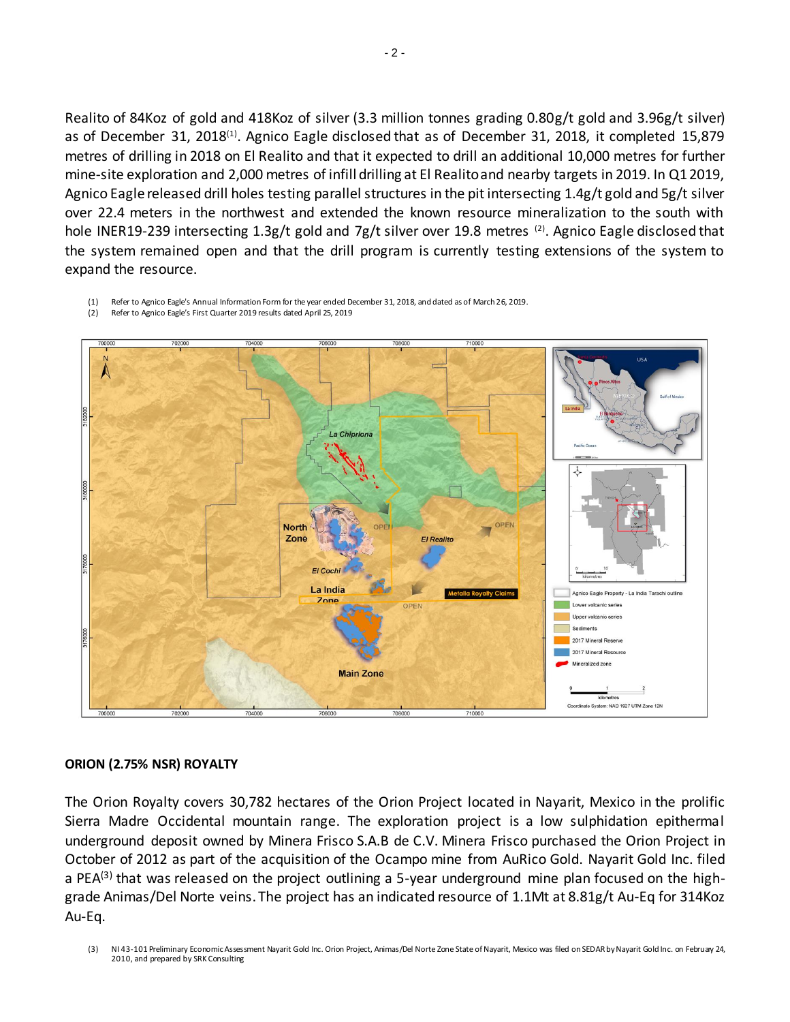Realito of 84Koz of gold and 418Koz of silver (3.3 million tonnes grading 0.80g/t gold and 3.96g/t silver) as of December 31, 2018(1). Agnico Eagle disclosed that as of December 31, 2018, it completed 15,879 metres of drilling in 2018 on El Realito and that it expected to drill an additional 10,000 metres for further mine-site exploration and 2,000 metres of infill drilling at El Realito and nearby targets in 2019. In Q1 2019, Agnico Eagle released drill holes testing parallel structures in the pit intersecting 1.4g/t gold and 5g/t silver over 22.4 meters in the northwest and extended the known resource mineralization to the south with hole INER19-239 intersecting 1.3g/t gold and 7g/t silver over 19.8 metres <sup>(2)</sup>. Agnico Eagle disclosed that the system remained open and that the drill program is currently testing extensions of the system to expand the resource.

(1) Refer to Agnico Eagle's Annual Information Form for the year ended December 31, 2018, and dated as of March 26, 2019. (2) Refer to Agnico Eagle's First Quarter 2019 results dated April 25, 2019



## **ORION (2.75% NSR) ROYALTY**

The Orion Royalty covers 30,782 hectares of the Orion Project located in Nayarit, Mexico in the prolific Sierra Madre Occidental mountain range. The exploration project is a low sulphidation epithermal underground deposit owned by Minera Frisco S.A.B de C.V. Minera Frisco purchased the Orion Project in October of 2012 as part of the acquisition of the Ocampo mine from AuRico Gold. Nayarit Gold Inc. filed a PEA<sup>(3)</sup> that was released on the project outlining a 5-year underground mine plan focused on the highgrade Animas/Del Norte veins. The project has an indicated resource of 1.1Mt at 8.81g/t Au-Eq for 314Koz Au-Eq.

(3) NI 43-101 Preliminary Economic Assessment Nayarit Gold Inc. Orion Project, Animas/Del Norte Zone State of Nayarit, Mexico was filed on SEDAR by Nayarit Gold Inc. on February 24, 2010, and prepared by SRK Consulting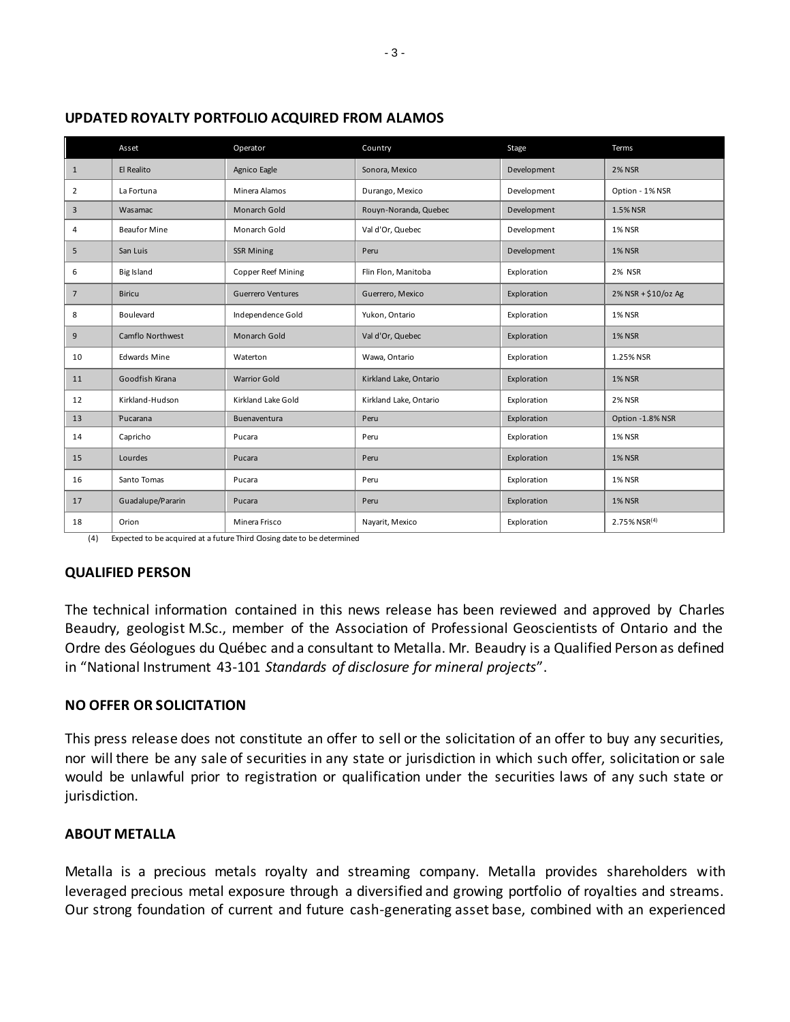|                 | Asset               | Operator                  | Country                | Stage       | Terms               |
|-----------------|---------------------|---------------------------|------------------------|-------------|---------------------|
| $\mathbf{1}$    | El Realito          | Agnico Eagle              | Sonora, Mexico         | Development | <b>2% NSR</b>       |
| $\overline{2}$  | La Fortuna          | Minera Alamos             | Durango, Mexico        | Development | Option - 1% NSR     |
| 3               | Wasamac             | Monarch Gold              | Rouyn-Noranda, Quebec  | Development | 1.5% NSR            |
| 4               | <b>Beaufor Mine</b> | Monarch Gold              | Val d'Or, Quebec       | Development | <b>1% NSR</b>       |
| 5               | San Luis            | <b>SSR Mining</b>         | Peru                   | Development | <b>1% NSR</b>       |
| 6               | <b>Big Island</b>   | <b>Copper Reef Mining</b> | Flin Flon, Manitoba    | Exploration | <b>2% NSR</b>       |
| $7\overline{ }$ | <b>Biricu</b>       | Guerrero Ventures         | Guerrero, Mexico       | Exploration | 2% NSR + \$10/oz Ag |
| 8               | Boulevard           | Independence Gold         | Yukon, Ontario         | Exploration | <b>1% NSR</b>       |
| 9               | Camflo Northwest    | Monarch Gold              | Val d'Or, Quebec       | Exploration | <b>1% NSR</b>       |
| 10              | <b>Edwards Mine</b> | Waterton                  | Wawa, Ontario          | Exploration | 1.25% NSR           |
| 11              | Goodfish Kirana     | <b>Warrior Gold</b>       | Kirkland Lake, Ontario | Exploration | <b>1% NSR</b>       |
| 12              | Kirkland-Hudson     | Kirkland Lake Gold        | Kirkland Lake, Ontario | Exploration | <b>2% NSR</b>       |
| 13              | Pucarana            | Buenaventura              | Peru                   | Exploration | Option -1.8% NSR    |
| 14              | Capricho            | Pucara                    | Peru                   | Exploration | <b>1% NSR</b>       |
| 15              | Lourdes             | Pucara                    | Peru                   | Exploration | <b>1% NSR</b>       |
| 16              | Santo Tomas         | Pucara                    | Peru                   | Exploration | <b>1% NSR</b>       |
| 17              | Guadalupe/Pararin   | Pucara                    | Peru                   | Exploration | <b>1% NSR</b>       |
| 18              | Orion               | Minera Frisco             | Nayarit, Mexico        | Exploration | 2.75% NSR(4)        |

## **UPDATED ROYALTY PORTFOLIO ACQUIRED FROM ALAMOS**

(4) Expected to be acquired at a future Third Closing date to be determined

## **QUALIFIED PERSON**

The technical information contained in this news release has been reviewed and approved by Charles Beaudry, geologist M.Sc., member of the Association of Professional Geoscientists of Ontario and the Ordre des Géologues du Québec and a consultant to Metalla. Mr. Beaudry is a Qualified Person as defined in "National Instrument 43-101 *Standards of disclosure for mineral projects*".

## **NO OFFER OR SOLICITATION**

This press release does not constitute an offer to sell or the solicitation of an offer to buy any securities, nor will there be any sale of securities in any state or jurisdiction in which such offer, solicitation or sale would be unlawful prior to registration or qualification under the securities laws of any such state or jurisdiction.

## **ABOUT METALLA**

Metalla is a precious metals royalty and streaming company. Metalla provides shareholders with leveraged precious metal exposure through a diversified and growing portfolio of royalties and streams. Our strong foundation of current and future cash-generating asset base, combined with an experienced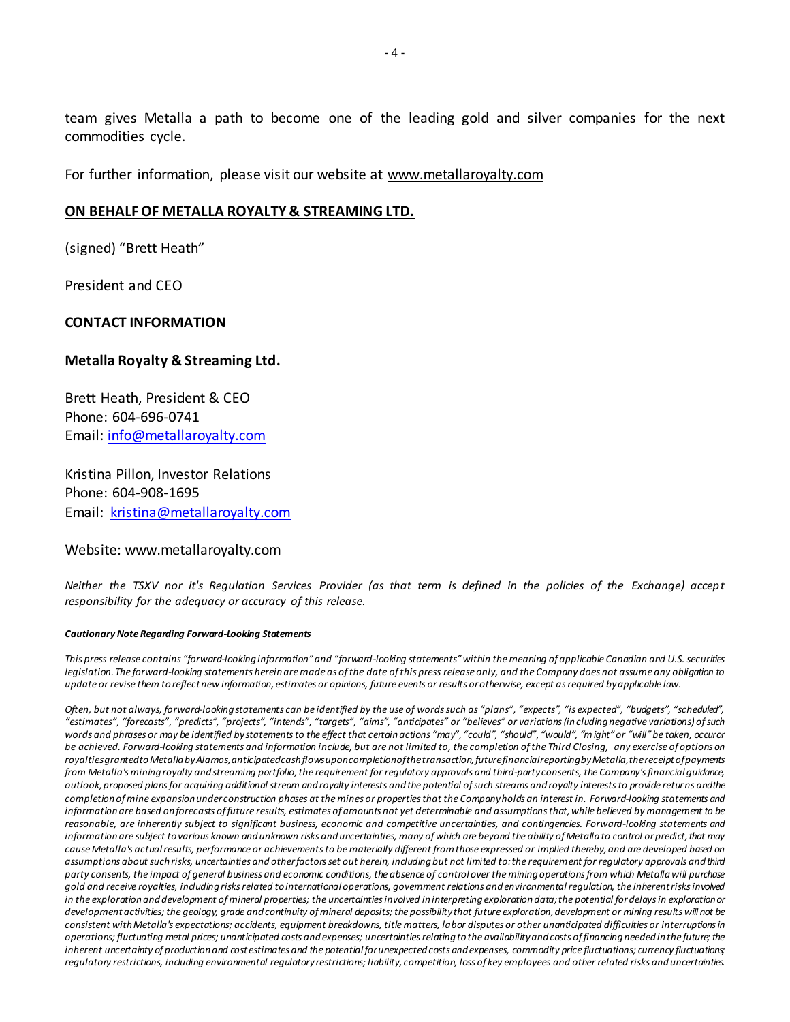team gives Metalla a path to become one of the leading gold and silver companies for the next commodities cycle.

For further information, please visit our website a[t www.metallaroyalty.com](http://www.metallaroyalty.com/)

## **ON BEHALF OF METALLA ROYALTY & STREAMING LTD.**

(signed) "Brett Heath"

President and CEO

## **CONTACT INFORMATION**

## **Metalla Royalty & Streaming Ltd.**

Brett Heath, President & CEO Phone: [604-696-0741](tel:604-696-0741) Email: [info@metallaroyalty.com](mailto:info@metallaroyalty.com)

Kristina Pillon, Investor Relations Phone: 604-908-1695 Email: [kristina@metallaroyalty.com](mailto:kristina@metallaroyalty.com)

#### Website: [www.metallaroyalty.com](http://www.metallaroyalty.com/)

*Neither the TSXV nor it's Regulation Services Provider (as that term is defined in the policies of the Exchange) accept responsibility for the adequacy or accuracy of this release.*

#### *Cautionary Note Regarding Forward-Looking Statements*

*This press release contains "forward-looking information" and "forward-looking statements" within the meaning of applicable Canadian and U.S. securities legislation. The forward-looking statements herein are made as of the date of this press release only, and the Company does not assume any obligation to update or revise them to reflect new information, estimates or opinions, future events or results or otherwise, except as required by applicable law.* 

*Often, but not always, forward-looking statements can be identified by the use of words such as "plans", "expects", "is expected", "budgets", "scheduled", "estimates", "forecasts", "predicts", "projects", "intends", "targets", "aims", "anticipates" or "believes" or variations (in cluding negative variations) of such*  words and phrases or may be identified by statements to the effect that certain actions "may", "could", "should", "would", "might" or "will" be taken, occuror *be achieved. Forward-looking statements and information include, but are not limited to, the completion of the Third Closing, any exercise of options on*  royalties granted to Metalla by Alamos, anticipated cash flows upon completion of the transaction, future financial reporting by Metalla, the receipt of payments *from Metalla's mining royalty and streaming portfolio, the requirement for regulatory approvals and third-party consents, the Company's financial guidance, outlook, proposed plans for acquiring additional stream and royalty interests and the potential of such streams and royalty interests to provide returns and the completion of mine expansion under construction phases at the mines or properties that the Company holds an interest in. Forward-looking statements and information are based on forecasts of future results, estimates of amounts not yet determinable and assumptions that, while believed by management to be reasonable, are inherently subject to significant business, economic and competitive uncertainties, and contingencies. Forward-looking statements and information are subject to various known and unknown risks and uncertainties, many of which are beyond the ability of Metalla to control or predict, that may cause Metalla's actual results, performance or achievements to be materially different from those expressed or implied thereby, and are developed based on assumptions about such risks, uncertainties and other factors set out herein, including but not limited to: the requirement for regulatory approvals and third party consents, the impact of general business and economic conditions, the absence of control over the mining operations from which Metalla will purchase gold and receive royalties, including risks related to international operations, government relations and environmental regulation, the inherent risks involved in the exploration and development of mineral properties; the uncertainties involved in interpreting exploration data; the potential for delays in explorationor development activities; the geology, grade and continuity of mineral deposits; the possibility that future exploration, development or mining results will not be consistent with Metalla's expectations; accidents, equipment breakdowns, title matters, labor disputes or other unanticipated difficulties or interruptions in operations; fluctuating metal prices; unanticipated costs and expenses; uncertainties relating to the availability and costs of financing needed in the future; the inherent uncertainty of production and cost estimates and the potential for unexpected costs and expenses, commodity price fluctuations; currency fluctuations; regulatory restrictions, including environmental regulatory restrictions; liability, competition, loss of key employees and other related risks and uncertainties.*